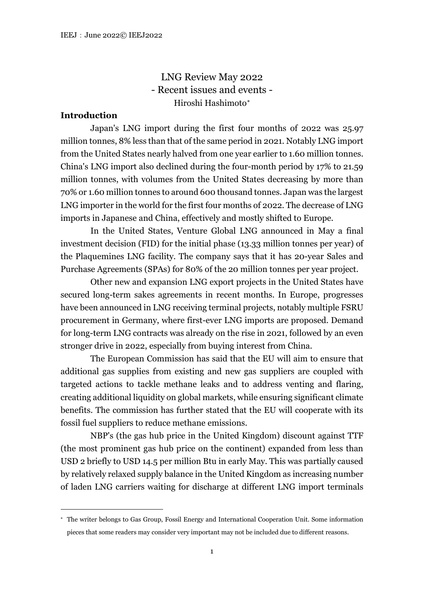LNG Review May 2022 - Recent issues and events - Hiroshi Hashimoto[∗](#page-0-0)

# **Introduction**

Japan's LNG import during the first four months of 2022 was 25.97 million tonnes, 8% less than that of the same period in 2021. Notably LNG import from the United States nearly halved from one year earlier to 1.60 million tonnes. China's LNG import also declined during the four-month period by 17% to 21.59 million tonnes, with volumes from the United States decreasing by more than 70% or 1.60 million tonnes to around 600 thousand tonnes. Japan was the largest LNG importer in the world for the first four months of 2022. The decrease of LNG imports in Japanese and China, effectively and mostly shifted to Europe.

In the United States, Venture Global LNG announced in May a final investment decision (FID) for the initial phase (13.33 million tonnes per year) of the Plaquemines LNG facility. The company says that it has 20-year Sales and Purchase Agreements (SPAs) for 80% of the 20 million tonnes per year project.

Other new and expansion LNG export projects in the United States have secured long-term sakes agreements in recent months. In Europe, progresses have been announced in LNG receiving terminal projects, notably multiple FSRU procurement in Germany, where first-ever LNG imports are proposed. Demand for long-term LNG contracts was already on the rise in 2021, followed by an even stronger drive in 2022, especially from buying interest from China.

The European Commission has said that the EU will aim to ensure that additional gas supplies from existing and new gas suppliers are coupled with targeted actions to tackle methane leaks and to address venting and flaring, creating additional liquidity on global markets, while ensuring significant climate benefits. The commission has further stated that the EU will cooperate with its fossil fuel suppliers to reduce methane emissions.

NBP's (the gas hub price in the United Kingdom) discount against TTF (the most prominent gas hub price on the continent) expanded from less than USD 2 briefly to USD 14.5 per million Btu in early May. This was partially caused by relatively relaxed supply balance in the United Kingdom as increasing number of laden LNG carriers waiting for discharge at different LNG import terminals

<span id="page-0-0"></span><sup>∗</sup> The writer belongs to Gas Group, Fossil Energy and International Cooperation Unit. Some information pieces that some readers may consider very important may not be included due to different reasons.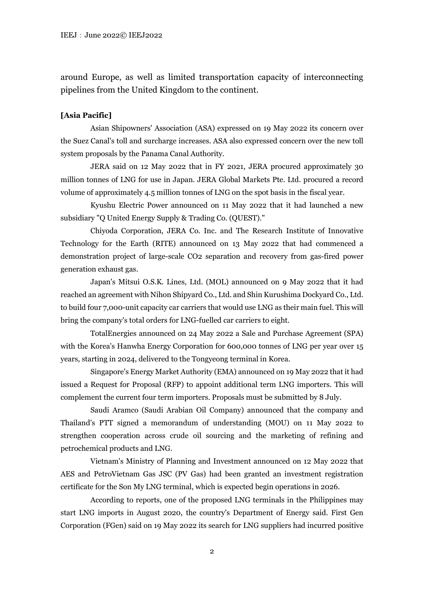around Europe, as well as limited transportation capacity of interconnecting pipelines from the United Kingdom to the continent.

### **[Asia Pacific]**

Asian Shipowners' Association (ASA) expressed on 19 May 2022 its concern over the Suez Canal's toll and surcharge increases. ASA also expressed concern over the new toll system proposals by the Panama Canal Authority.

JERA said on 12 May 2022 that in FY 2021, JERA procured approximately 30 million tonnes of LNG for use in Japan. JERA Global Markets Pte. Ltd. procured a record volume of approximately 4.5 million tonnes of LNG on the spot basis in the fiscal year.

Kyushu Electric Power announced on 11 May 2022 that it had launched a new subsidiary "Q United Energy Supply & Trading Co. (QUEST)."

Chiyoda Corporation, JERA Co. Inc. and The Research Institute of Innovative Technology for the Earth (RITE) announced on 13 May 2022 that had commenced a demonstration project of large-scale CO2 separation and recovery from gas-fired power generation exhaust gas.

Japan's Mitsui O.S.K. Lines, Ltd. (MOL) announced on 9 May 2022 that it had reached an agreement with Nihon Shipyard Co., Ltd. and Shin Kurushima Dockyard Co., Ltd. to build four 7,000-unit capacity car carriers that would use LNG as their main fuel. This will bring the company's total orders for LNG-fuelled car carriers to eight.

TotalEnergies announced on 24 May 2022 a Sale and Purchase Agreement (SPA) with the Korea's Hanwha Energy Corporation for 600,000 tonnes of LNG per year over 15 years, starting in 2024, delivered to the Tongyeong terminal in Korea.

Singapore's Energy Market Authority (EMA) announced on 19 May 2022 that it had issued a Request for Proposal (RFP) to appoint additional term LNG importers. This will complement the current four term importers. Proposals must be submitted by 8 July.

Saudi Aramco (Saudi Arabian Oil Company) announced that the company and Thailand's PTT signed a memorandum of understanding (MOU) on 11 May 2022 to strengthen cooperation across crude oil sourcing and the marketing of refining and petrochemical products and LNG.

Vietnam's Ministry of Planning and Investment announced on 12 May 2022 that AES and PetroVietnam Gas JSC (PV Gas) had been granted an investment registration certificate for the Son My LNG terminal, which is expected begin operations in 2026.

According to reports, one of the proposed LNG terminals in the Philippines may start LNG imports in August 2020, the country's Department of Energy said. First Gen Corporation (FGen) said on 19 May 2022 its search for LNG suppliers had incurred positive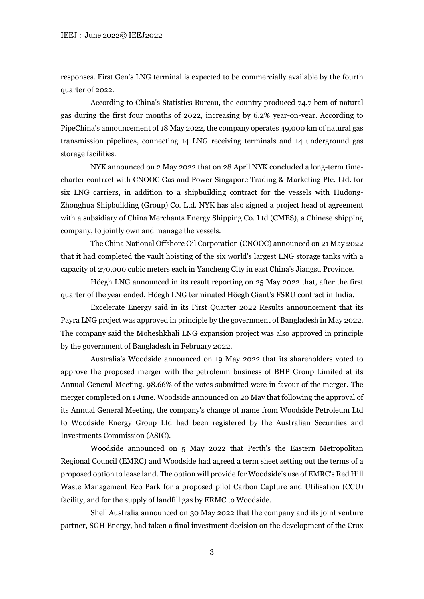responses. First Gen's LNG terminal is expected to be commercially available by the fourth quarter of 2022.

According to China's Statistics Bureau, the country produced 74.7 bcm of natural gas during the first four months of 2022, increasing by 6.2% year-on-year. According to PipeChina's announcement of 18 May 2022, the company operates 49,000 km of natural gas transmission pipelines, connecting 14 LNG receiving terminals and 14 underground gas storage facilities.

NYK announced on 2 May 2022 that on 28 April NYK concluded a long-term timecharter contract with CNOOC Gas and Power Singapore Trading & Marketing Pte. Ltd. for six LNG carriers, in addition to a shipbuilding contract for the vessels with Hudong-Zhonghua Shipbuilding (Group) Co. Ltd. NYK has also signed a project head of agreement with a subsidiary of China Merchants Energy Shipping Co. Ltd (CMES), a Chinese shipping company, to jointly own and manage the vessels.

The China National Offshore Oil Corporation (CNOOC) announced on 21 May 2022 that it had completed the vault hoisting of the six world's largest LNG storage tanks with a capacity of 270,000 cubic meters each in Yancheng City in east China's Jiangsu Province.

Höegh LNG announced in its result reporting on 25 May 2022 that, after the first quarter of the year ended, Höegh LNG terminated Höegh Giant's FSRU contract in India.

Excelerate Energy said in its First Quarter 2022 Results announcement that its Payra LNG project was approved in principle by the government of Bangladesh in May 2022. The company said the Moheshkhali LNG expansion project was also approved in principle by the government of Bangladesh in February 2022.

Australia's Woodside announced on 19 May 2022 that its shareholders voted to approve the proposed merger with the petroleum business of BHP Group Limited at its Annual General Meeting. 98.66% of the votes submitted were in favour of the merger. The merger completed on 1 June. Woodside announced on 20 May that following the approval of its Annual General Meeting, the company's change of name from Woodside Petroleum Ltd to Woodside Energy Group Ltd had been registered by the Australian Securities and Investments Commission (ASIC).

Woodside announced on 5 May 2022 that Perth's the Eastern Metropolitan Regional Council (EMRC) and Woodside had agreed a term sheet setting out the terms of a proposed option to lease land. The option will provide for Woodside's use of EMRC's Red Hill Waste Management Eco Park for a proposed pilot Carbon Capture and Utilisation (CCU) facility, and for the supply of landfill gas by ERMC to Woodside.

Shell Australia announced on 30 May 2022 that the company and its joint venture partner, SGH Energy, had taken a final investment decision on the development of the Crux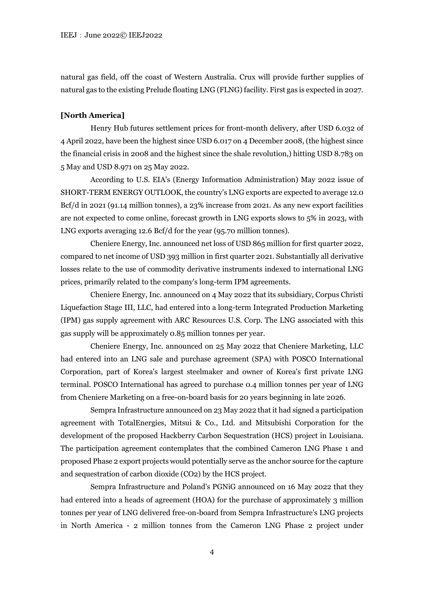natural gas field, off the coast of Western Australia. Crux will provide further supplies of natural gas to the existing Prelude floating LNG (FLNG) facility. First gas is expected in 2027.

### **[North America]**

Henry Hub futures settlement prices for front-month delivery, after USD 6.032 of 4 April 2022, have been the highest since USD 6.017 on 4 December 2008, (the highest since the financial crisis in 2008 and the highest since the shale revolution,) hitting USD 8.783 on 5 May and USD 8.971 on 25 May 2022.

According to U.S. EIA's (Energy Information Administration) May 2022 issue of SHORT-TERM ENERGY OUTLOOK, the country's LNG exports are expected to average 12.0 Bcf/d in 2021 (91.14 million tonnes), a 23% increase from 2021. As any new export facilities are not expected to come online, forecast growth in LNG exports slows to 5% in 2023, with LNG exports averaging 12.6 Bcf/d for the year (95.70 million tonnes).

Cheniere Energy, Inc. announced net loss of USD 865 million for first quarter 2022, compared to net income of USD 393 million in first quarter 2021. Substantially all derivative losses relate to the use of commodity derivative instruments indexed to international LNG prices, primarily related to the company's long-term IPM agreements.

Cheniere Energy, Inc. announced on 4 May 2022 that its subsidiary, Corpus Christi Liquefaction Stage III, LLC, had entered into a long-term Integrated Production Marketing (IPM) gas supply agreement with ARC Resources U.S. Corp. The LNG associated with this gas supply will be approximately 0.85 million tonnes per year.

Cheniere Energy, Inc. announced on 25 May 2022 that Cheniere Marketing, LLC had entered into an LNG sale and purchase agreement (SPA) with POSCO International Corporation, part of Korea's largest steelmaker and owner of Korea's first private LNG terminal. POSCO International has agreed to purchase 0.4 million tonnes per year of LNG from Cheniere Marketing on a free-on-board basis for 20 years beginning in late 2026.

Sempra Infrastructure announced on 23 May 2022 that it had signed a participation agreement with TotalEnergies, Mitsui & Co., Ltd. and Mitsubishi Corporation for the development of the proposed Hackberry Carbon Sequestration (HCS) project in Louisiana. The participation agreement contemplates that the combined Cameron LNG Phase 1 and proposed Phase 2 export projects would potentially serve as the anchor source for the capture and sequestration of carbon dioxide (CO2) by the HCS project.

Sempra Infrastructure and Poland's PGNiG announced on 16 May 2022 that they had entered into a heads of agreement (HOA) for the purchase of approximately 3 million tonnes per year of LNG delivered free-on-board from Sempra Infrastructure's LNG projects in North America - 2 million tonnes from the Cameron LNG Phase 2 project under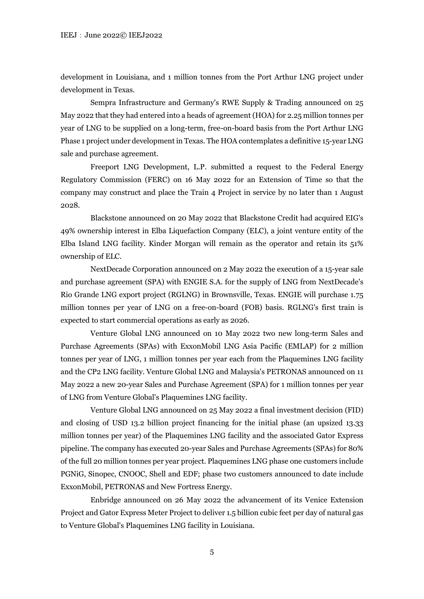development in Louisiana, and 1 million tonnes from the Port Arthur LNG project under development in Texas.

Sempra Infrastructure and Germany's RWE Supply & Trading announced on 25 May 2022 that they had entered into a heads of agreement (HOA) for 2.25 million tonnes per year of LNG to be supplied on a long-term, free-on-board basis from the Port Arthur LNG Phase 1 project under development in Texas. The HOA contemplates a definitive 15-year LNG sale and purchase agreement.

Freeport LNG Development, L.P. submitted a request to the Federal Energy Regulatory Commission (FERC) on 16 May 2022 for an Extension of Time so that the company may construct and place the Train 4 Project in service by no later than 1 August 2028.

Blackstone announced on 20 May 2022 that Blackstone Credit had acquired EIG's 49% ownership interest in Elba Liquefaction Company (ELC), a joint venture entity of the Elba Island LNG facility. Kinder Morgan will remain as the operator and retain its 51% ownership of ELC.

NextDecade Corporation announced on 2 May 2022 the execution of a 15-year sale and purchase agreement (SPA) with ENGIE S.A. for the supply of LNG from NextDecade's Rio Grande LNG export project (RGLNG) in Brownsville, Texas. ENGIE will purchase 1.75 million tonnes per year of LNG on a free-on-board (FOB) basis. RGLNG's first train is expected to start commercial operations as early as 2026.

Venture Global LNG announced on 10 May 2022 two new long-term Sales and Purchase Agreements (SPAs) with ExxonMobil LNG Asia Pacific (EMLAP) for 2 million tonnes per year of LNG, 1 million tonnes per year each from the Plaquemines LNG facility and the CP2 LNG facility. Venture Global LNG and Malaysia's PETRONAS announced on 11 May 2022 a new 20-year Sales and Purchase Agreement (SPA) for 1 million tonnes per year of LNG from Venture Global's Plaquemines LNG facility.

Venture Global LNG announced on 25 May 2022 a final investment decision (FID) and closing of USD 13.2 billion project financing for the initial phase (an upsized 13.33 million tonnes per year) of the Plaquemines LNG facility and the associated Gator Express pipeline. The company has executed 20-year Sales and Purchase Agreements (SPAs) for 80% of the full 20 million tonnes per year project. Plaquemines LNG phase one customers include PGNiG, Sinopec, CNOOC, Shell and EDF; phase two customers announced to date include ExxonMobil, PETRONAS and New Fortress Energy.

Enbridge announced on 26 May 2022 the advancement of its Venice Extension Project and Gator Express Meter Project to deliver 1.5 billion cubic feet per day of natural gas to Venture Global's Plaquemines LNG facility in Louisiana.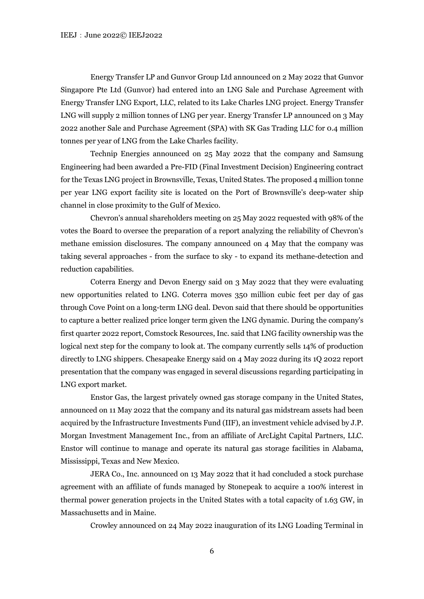Energy Transfer LP and Gunvor Group Ltd announced on 2 May 2022 that Gunvor Singapore Pte Ltd (Gunvor) had entered into an LNG Sale and Purchase Agreement with Energy Transfer LNG Export, LLC, related to its Lake Charles LNG project. Energy Transfer LNG will supply 2 million tonnes of LNG per year. Energy Transfer LP announced on 3 May 2022 another Sale and Purchase Agreement (SPA) with SK Gas Trading LLC for 0.4 million tonnes per year of LNG from the Lake Charles facility.

Technip Energies announced on 25 May 2022 that the company and Samsung Engineering had been awarded a Pre-FID (Final Investment Decision) Engineering contract for the Texas LNG project in Brownsville, Texas, United States. The proposed 4 million tonne per year LNG export facility site is located on the Port of Brownsville's deep-water ship channel in close proximity to the Gulf of Mexico.

Chevron's annual shareholders meeting on 25 May 2022 requested with 98% of the votes the Board to oversee the preparation of a report analyzing the reliability of Chevron's methane emission disclosures. The company announced on 4 May that the company was taking several approaches - from the surface to sky - to expand its methane-detection and reduction capabilities.

Coterra Energy and Devon Energy said on 3 May 2022 that they were evaluating new opportunities related to LNG. Coterra moves 350 million cubic feet per day of gas through Cove Point on a long-term LNG deal. Devon said that there should be opportunities to capture a better realized price longer term given the LNG dynamic. During the company's first quarter 2022 report, Comstock Resources, Inc. said that LNG facility ownership was the logical next step for the company to look at. The company currently sells 14% of production directly to LNG shippers. Chesapeake Energy said on 4 May 2022 during its 1Q 2022 report presentation that the company was engaged in several discussions regarding participating in LNG export market.

Enstor Gas, the largest privately owned gas storage company in the United States, announced on 11 May 2022 that the company and its natural gas midstream assets had been acquired by the Infrastructure Investments Fund (IIF), an investment vehicle advised by J.P. Morgan Investment Management Inc., from an affiliate of ArcLight Capital Partners, LLC. Enstor will continue to manage and operate its natural gas storage facilities in Alabama, Mississippi, Texas and New Mexico.

JERA Co., Inc. announced on 13 May 2022 that it had concluded a stock purchase agreement with an affiliate of funds managed by Stonepeak to acquire a 100% interest in thermal power generation projects in the United States with a total capacity of 1.63 GW, in Massachusetts and in Maine.

Crowley announced on 24 May 2022 inauguration of its LNG Loading Terminal in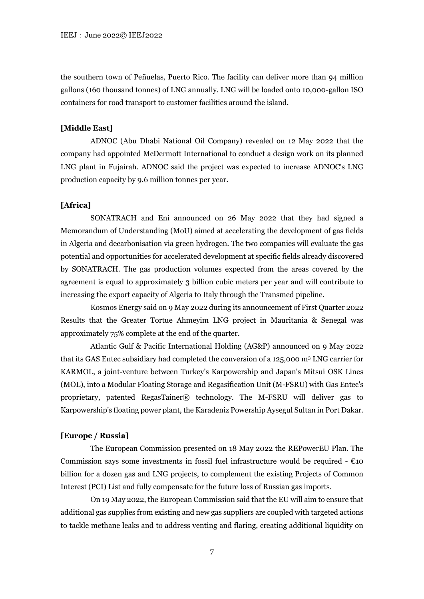the southern town of Peñuelas, Puerto Rico. The facility can deliver more than 94 million gallons (160 thousand tonnes) of LNG annually. LNG will be loaded onto 10,000-gallon ISO containers for road transport to customer facilities around the island.

## **[Middle East]**

ADNOC (Abu Dhabi National Oil Company) revealed on 12 May 2022 that the company had appointed McDermott International to conduct a design work on its planned LNG plant in Fujairah. ADNOC said the project was expected to increase ADNOC's LNG production capacity by 9.6 million tonnes per year.

### **[Africa]**

SONATRACH and Eni announced on 26 May 2022 that they had signed a Memorandum of Understanding (MoU) aimed at accelerating the development of gas fields in Algeria and decarbonisation via green hydrogen. The two companies will evaluate the gas potential and opportunities for accelerated development at specific fields already discovered by SONATRACH. The gas production volumes expected from the areas covered by the agreement is equal to approximately 3 billion cubic meters per year and will contribute to increasing the export capacity of Algeria to Italy through the Transmed pipeline.

Kosmos Energy said on 9 May 2022 during its announcement of First Quarter 2022 Results that the Greater Tortue Ahmeyim LNG project in Mauritania & Senegal was approximately 75% complete at the end of the quarter.

Atlantic Gulf & Pacific International Holding (AG&P) announced on 9 May 2022 that its GAS Entec subsidiary had completed the conversion of a 125,000 m3 LNG carrier for KARMOL, a joint-venture between Turkey's Karpowership and Japan's Mitsui OSK Lines (MOL), into a Modular Floating Storage and Regasification Unit (M-FSRU) with Gas Entec's proprietary, patented RegasTainer® technology. The M-FSRU will deliver gas to Karpowership's floating power plant, the Karadeniz Powership Aysegul Sultan in Port Dakar.

### **[Europe / Russia]**

The European Commission presented on 18 May 2022 the REPowerEU Plan. The Commission says some investments in fossil fuel infrastructure would be required  $- \epsilon$ 10 billion for a dozen gas and LNG projects, to complement the existing Projects of Common Interest (PCI) List and fully compensate for the future loss of Russian gas imports.

On 19 May 2022, the European Commission said that the EU will aim to ensure that additional gas supplies from existing and new gas suppliers are coupled with targeted actions to tackle methane leaks and to address venting and flaring, creating additional liquidity on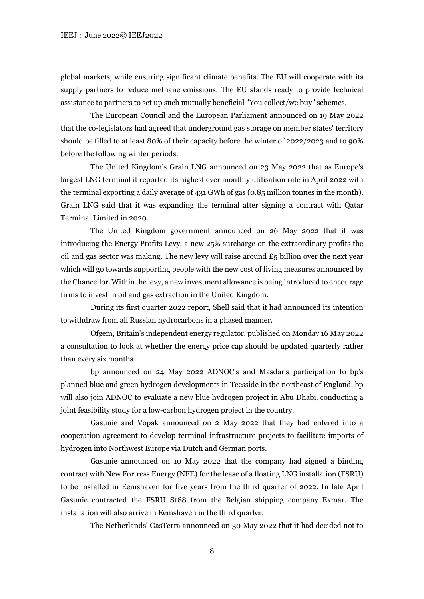global markets, while ensuring significant climate benefits. The EU will cooperate with its supply partners to reduce methane emissions. The EU stands ready to provide technical assistance to partners to set up such mutually beneficial "You collect/we buy" schemes.

The European Council and the European Parliament announced on 19 May 2022 that the co-legislators had agreed that underground gas storage on member states' territory should be filled to at least 80% of their capacity before the winter of 2022/2023 and to 90% before the following winter periods.

The United Kingdom's Grain LNG announced on 23 May 2022 that as Europe's largest LNG terminal it reported its highest ever monthly utilisation rate in April 2022 with the terminal exporting a daily average of 431 GWh of gas (0.85 million tonnes in the month). Grain LNG said that it was expanding the terminal after signing a contract with Qatar Terminal Limited in 2020.

The United Kingdom government announced on 26 May 2022 that it was introducing the Energy Profits Levy, a new 25% surcharge on the extraordinary profits the oil and gas sector was making. The new levy will raise around  $\mathcal{L}_5$  billion over the next year which will go towards supporting people with the new cost of living measures announced by the Chancellor. Within the levy, a new investment allowance is being introduced to encourage firms to invest in oil and gas extraction in the United Kingdom.

During its first quarter 2022 report, Shell said that it had announced its intention to withdraw from all Russian hydrocarbons in a phased manner.

Ofgem, Britain's independent energy regulator, published on Monday 16 May 2022 a consultation to look at whether the energy price cap should be updated quarterly rather than every six months.

bp announced on 24 May 2022 ADNOC's and Masdar's participation to bp's planned blue and green hydrogen developments in Teesside in the northeast of England. bp will also join ADNOC to evaluate a new blue hydrogen project in Abu Dhabi, conducting a joint feasibility study for a low-carbon hydrogen project in the country.

Gasunie and Vopak announced on 2 May 2022 that they had entered into a cooperation agreement to develop terminal infrastructure projects to facilitate imports of hydrogen into Northwest Europe via Dutch and German ports.

Gasunie announced on 10 May 2022 that the company had signed a binding contract with New Fortress Energy (NFE) for the lease of a floating LNG installation (FSRU) to be installed in Eemshaven for five years from the third quarter of 2022. In late April Gasunie contracted the FSRU S188 from the Belgian shipping company Exmar. The installation will also arrive in Eemshaven in the third quarter.

The Netherlands' GasTerra announced on 30 May 2022 that it had decided not to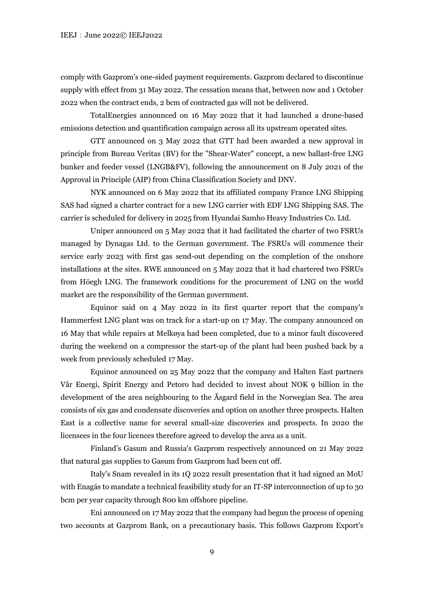comply with Gazprom's one-sided payment requirements. Gazprom declared to discontinue supply with effect from 31 May 2022. The cessation means that, between now and 1 October 2022 when the contract ends, 2 bcm of contracted gas will not be delivered.

TotalEnergies announced on 16 May 2022 that it had launched a drone-based emissions detection and quantification campaign across all its upstream operated sites.

GTT announced on 3 May 2022 that GTT had been awarded a new approval in principle from Bureau Veritas (BV) for the "Shear-Water" concept, a new ballast-free LNG bunker and feeder vessel (LNGB&FV), following the announcement on 8 July 2021 of the Approval in Principle (AIP) from China Classification Society and DNV.

NYK announced on 6 May 2022 that its affiliated company France LNG Shipping SAS had signed a charter contract for a new LNG carrier with EDF LNG Shipping SAS. The carrier is scheduled for delivery in 2025 from Hyundai Samho Heavy Industries Co. Ltd.

Uniper announced on 5 May 2022 that it had facilitated the charter of two FSRUs managed by Dynagas Ltd. to the German government. The FSRUs will commence their service early 2023 with first gas send-out depending on the completion of the onshore installations at the sites. RWE announced on 5 May 2022 that it had chartered two FSRUs from Höegh LNG. The framework conditions for the procurement of LNG on the world market are the responsibility of the German government.

Equinor said on 4 May 2022 in its first quarter report that the company's Hammerfest LNG plant was on track for a start-up on 17 May. The company announced on 16 May that while repairs at Melkøya had been completed, due to a minor fault discovered during the weekend on a compressor the start-up of the plant had been pushed back by a week from previously scheduled 17 May.

Equinor announced on 25 May 2022 that the company and Halten East partners Vår Energi, Spirit Energy and Petoro had decided to invest about NOK 9 billion in the development of the area neighbouring to the Åsgard field in the Norwegian Sea. The area consists of six gas and condensate discoveries and option on another three prospects. Halten East is a collective name for several small-size discoveries and prospects. In 2020 the licensees in the four licences therefore agreed to develop the area as a unit.

Finland's Gasum and Russia's Gazprom respectively announced on 21 May 2022 that natural gas supplies to Gasum from Gazprom had been cut off.

Italy's Snam revealed in its 1Q 2022 result presentation that it had signed an MoU with Enagás to mandate a technical feasibility study for an IT-SP interconnection of up to 30 bcm per year capacity through 800 km offshore pipeline.

Eni announced on 17 May 2022 that the company had begun the process of opening two accounts at Gazprom Bank, on a precautionary basis. This follows Gazprom Export's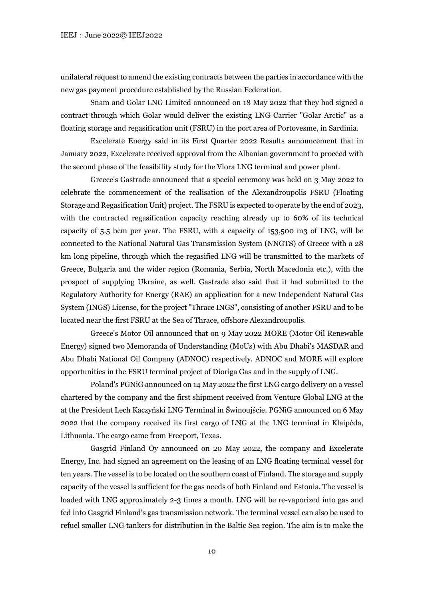unilateral request to amend the existing contracts between the parties in accordance with the new gas payment procedure established by the Russian Federation.

Snam and Golar LNG Limited announced on 18 May 2022 that they had signed a contract through which Golar would deliver the existing LNG Carrier "Golar Arctic" as a floating storage and regasification unit (FSRU) in the port area of Portovesme, in Sardinia.

Excelerate Energy said in its First Quarter 2022 Results announcement that in January 2022, Excelerate received approval from the Albanian government to proceed with the second phase of the feasibility study for the Vlora LNG terminal and power plant.

Greece's Gastrade announced that a special ceremony was held on 3 May 2022 to celebrate the commencement of the realisation of the Alexandroupolis FSRU (Floating Storage and Regasification Unit) project. The FSRU is expected to operate by the end of 2023, with the contracted regasification capacity reaching already up to 60% of its technical capacity of  $5.5$  bcm per year. The FSRU, with a capacity of  $153,500$  m3 of LNG, will be connected to the National Natural Gas Transmission System (NNGΤS) of Greece with a 28 km long pipeline, through which the regasified LNG will be transmitted to the markets of Greece, Bulgaria and the wider region (Romania, Serbia, North Macedonia etc.), with the prospect of supplying Ukraine, as well. Gastrade also said that it had submitted to the Regulatory Authority for Energy (RAE) an application for a new Independent Natural Gas System (INGS) License, for the project "Thrace INGS", consisting of another FSRU and to be located near the first FSRU at the Sea of Thrace, offshore Alexandroupolis.

Greece's Motor Oil announced that on 9 May 2022 MORE (Motor Oil Renewable Energy) signed two Memoranda of Understanding (MoUs) with Abu Dhabi's MASDAR and Abu Dhabi National Oil Company (ADNOC) respectively. ADNOC and MORE will explore opportunities in the FSRU terminal project of Dioriga Gas and in the supply of LNG.

Poland's PGNiG announced on 14 May 2022 the first LNG cargo delivery on a vessel chartered by the company and the first shipment received from Venture Global LNG at the at the President Lech Kaczyński LNG Terminal in Świnoujście. PGNiG announced on 6 May 2022 that the company received its first cargo of LNG at the LNG terminal in Klaipėda, Lithuania. The cargo came from Freeport, Texas.

Gasgrid Finland Oy announced on 20 May 2022, the company and Excelerate Energy, Inc. had signed an agreement on the leasing of an LNG floating terminal vessel for ten years. The vessel is to be located on the southern coast of Finland. The storage and supply capacity of the vessel is sufficient for the gas needs of both Finland and Estonia. The vessel is loaded with LNG approximately 2-3 times a month. LNG will be re-vaporized into gas and fed into Gasgrid Finland's gas transmission network. The terminal vessel can also be used to refuel smaller LNG tankers for distribution in the Baltic Sea region. The aim is to make the